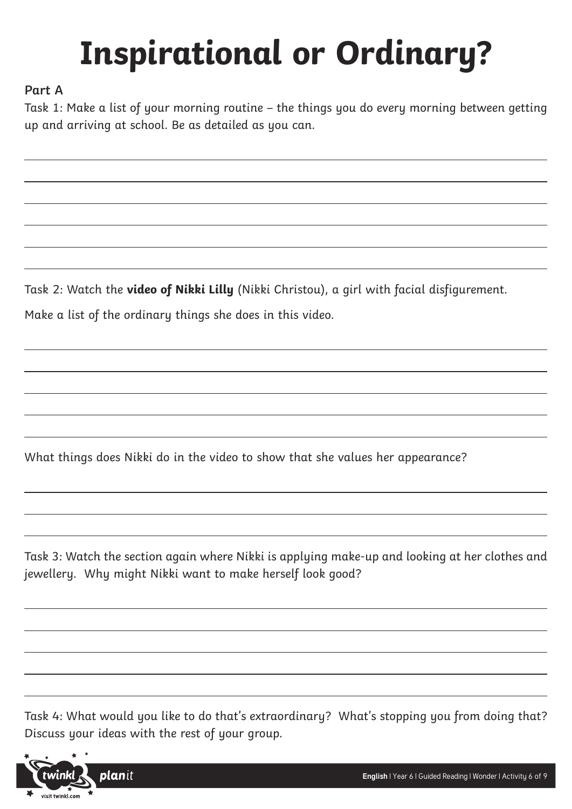# **Inspirational or Ordinary?**

## **Part A**

Task 1: Make a list of your morning routine – the things you do every morning between getting up and arriving at school. Be as detailed as you can.

Task 2: Watch the **[video of Nikki Lilly](https://goo.gl/eFmgfU)** (Nikki Christou), a girl with facial disfigurement.

Make a list of the ordinary things she does in this video.

What things does Nikki do in the video to show that she values her appearance?

Task 3: Watch the section again where Nikki is applying make-up and looking at her clothes and jewellery. Why might Nikki want to make herself look good?

Task 4: What would you like to do that's extraordinary? What's stopping you from doing that? Discuss your ideas with the rest of your group.

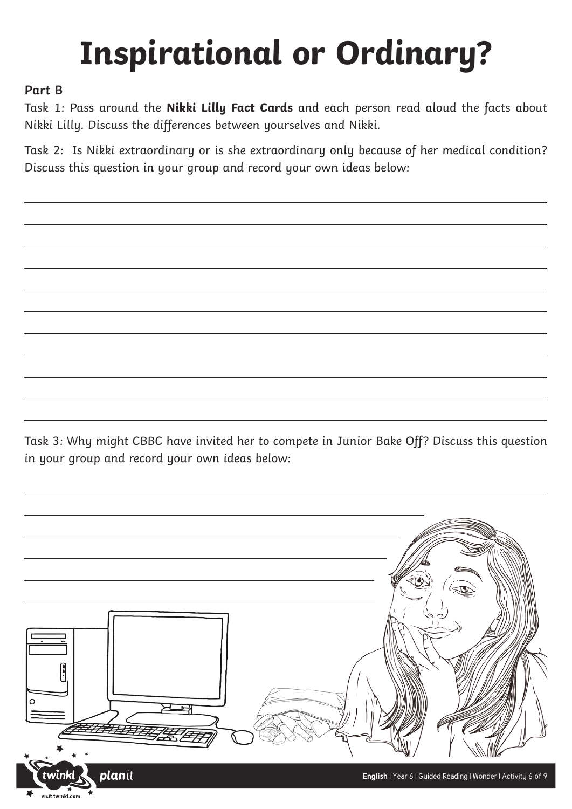# **Inspirational or Ordinary?**

## **Part B**

Task 1: Pass around the **Nikki Lilly Fact Cards** and each person read aloud the facts about Nikki Lilly. Discuss the differences between yourselves and Nikki.

Task 2: Is Nikki extraordinary or is she extraordinary only because of her medical condition? Discuss this question in your group and record your own ideas below:

Task 3: Why might CBBC have invited her to compete in Junior Bake Off? Discuss this question in your group and record your own ideas below:

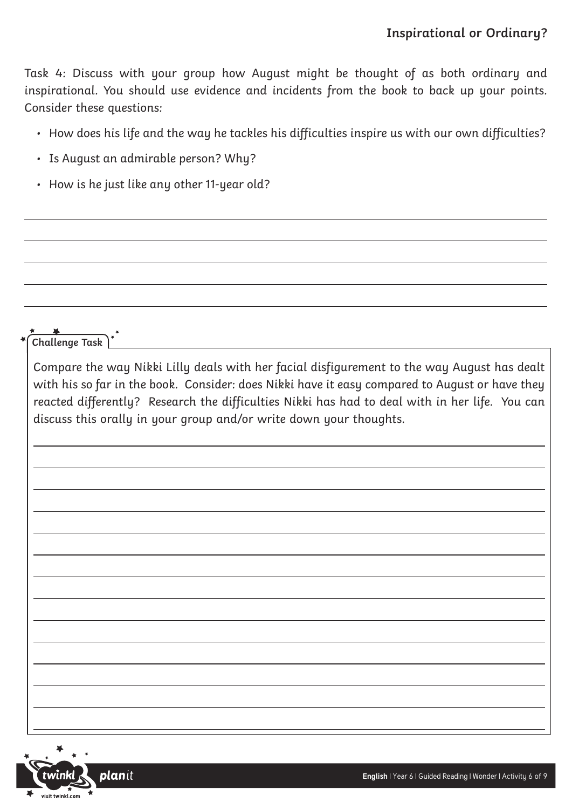Task 4: Discuss with your group how August might be thought of as both ordinary and inspirational. You should use evidence and incidents from the book to back up your points. Consider these questions:

- How does his life and the way he tackles his difficulties inspire us with our own difficulties?
- Is August an admirable person? Why?
- How is he just like any other 11-year old?

Compare the way Nikki Lilly deals with her facial disfigurement to the way August has dealt with his so far in the book. Consider: does Nikki have it easy compared to August or have they reacted differently? Research the difficulties Nikki has had to deal with in her life. You can discuss this orally in your group and/or write down your thoughts.



**Challenge Task**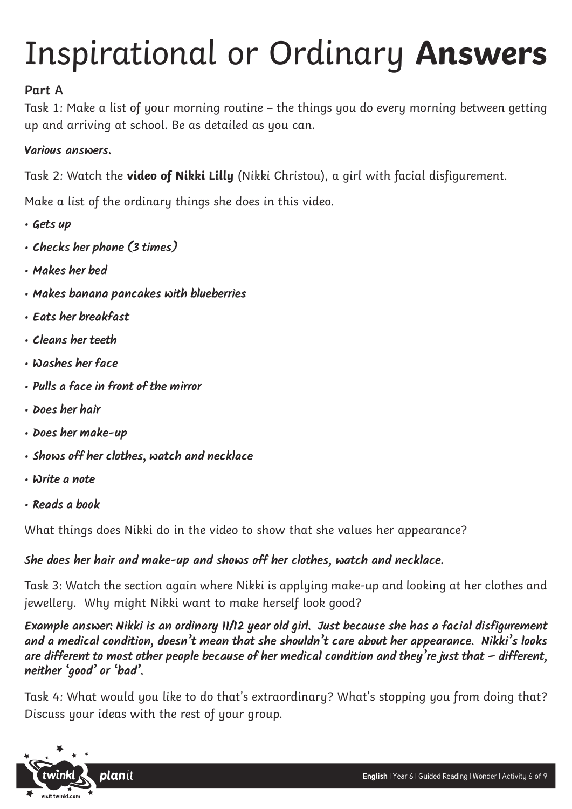## Inspirational or Ordinary **Answers**

## **Part A**

Task 1: Make a list of your morning routine – the things you do every morning between getting up and arriving at school. Be as detailed as you can.

### **Various answers.**

Task 2: Watch the **[video of Nikki Lilly](https://goo.gl/eFmgfU)** (Nikki Christou), a girl with facial disfigurement.

Make a list of the ordinary things she does in this video.

- **Gets up**
- **Checks her phone (3 times)**
- **Makes her bed**
- **Makes banana pancakes with blueberries**
- **Eats her breakfast**
- **Cleans her teeth**
- **Washes her face**
- **Pulls a face in front of the mirror**
- **Does her hair**
- **Does her make-up**
- **Shows off her clothes, watch and necklace**
- **Write a note**
- **Reads a book**

What things does Nikki do in the video to show that she values her appearance?

### **She does her hair and make-up and shows off her clothes, watch and necklace.**

Task 3: Watch the section again where Nikki is applying make-up and looking at her clothes and jewellery. Why might Nikki want to make herself look good?

**Example answer: Nikki is an ordinary 11/12 year old girl. Just because she has a facial disfigurement and a medical condition, doesn't mean that she shouldn't care about her appearance. Nikki's looks are different to most other people because of her medical condition and they're just that – different, neither 'good' or 'bad'.**

Task 4: What would you like to do that's extraordinary? What's stopping you from doing that? Discuss your ideas with the rest of your group.

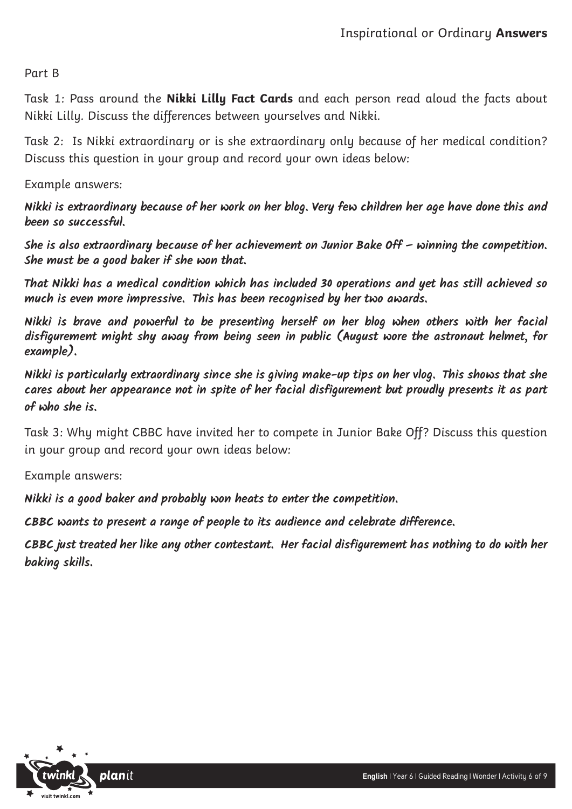Part B

Task 1: Pass around the **Nikki Lilly Fact Cards** and each person read aloud the facts about Nikki Lilly. Discuss the differences between yourselves and Nikki.

Task 2: Is Nikki extraordinary or is she extraordinary only because of her medical condition? Discuss this question in your group and record your own ideas below:

Example answers:

**Nikki is extraordinary because of her work on her blog. Very few children her age have done this and been so successful.** 

**She is also extraordinary because of her achievement on Junior Bake Off – winning the competition. She must be a good baker if she won that.** 

**That Nikki has a medical condition which has included 30 operations and yet has still achieved so much is even more impressive. This has been recognised by her two awards.**

**Nikki is brave and powerful to be presenting herself on her blog when others with her facial disfigurement might shy away from being seen in public (August wore the astronaut helmet, for example).**

**Nikki is particularly extraordinary since she is giving make-up tips on her vlog. This shows that she cares about her appearance not in spite of her facial disfigurement but proudly presents it as part of who she is.**

Task 3: Why might CBBC have invited her to compete in Junior Bake Off? Discuss this question in your group and record your own ideas below:

Example answers:

**Nikki is a good baker and probably won heats to enter the competition.**

**CBBC wants to present a range of people to its audience and celebrate difference.**

**CBBC just treated her like any other contestant. Her facial disfigurement has nothing to do with her baking skills.**